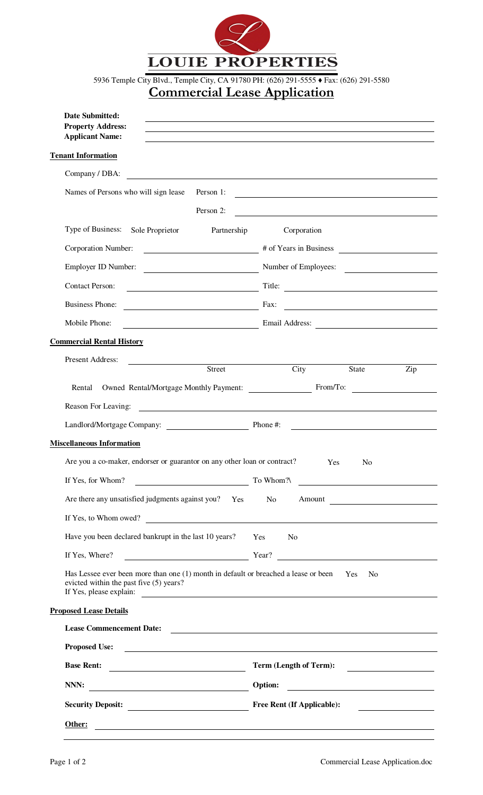

5936 Temple City Blvd., Temple City, CA 91780 PH: (626) 291-5555 ♦ Fax: (626) 291-5580

## **Commercial Lease Application**

| <b>Date Submitted:</b><br><b>Property Address:</b><br><b>Applicant Name:</b>                                                                                                                                                         |                                                                                                                                                                                                                                                                                                                                                                                                                                                                                 |  |  |
|--------------------------------------------------------------------------------------------------------------------------------------------------------------------------------------------------------------------------------------|---------------------------------------------------------------------------------------------------------------------------------------------------------------------------------------------------------------------------------------------------------------------------------------------------------------------------------------------------------------------------------------------------------------------------------------------------------------------------------|--|--|
| <b>Tenant Information</b>                                                                                                                                                                                                            |                                                                                                                                                                                                                                                                                                                                                                                                                                                                                 |  |  |
| Company / DBA:<br><u> 1980 - Johann Barnett, fransk politik (f. 1980)</u>                                                                                                                                                            |                                                                                                                                                                                                                                                                                                                                                                                                                                                                                 |  |  |
| Names of Persons who will sign lease<br>Person 1:                                                                                                                                                                                    | <u> 1980 - Johann Barn, mars ann an t-Amhain Aonaichte ann an t-Aonaichte ann an t-Aonaichte ann an t-Aonaichte a</u>                                                                                                                                                                                                                                                                                                                                                           |  |  |
| Person 2:                                                                                                                                                                                                                            | <u> 1989 - Johann Stoff, deutscher Stoff, der Stoff, der Stoff, der Stoff, der Stoff, der Stoff, der Stoff, der </u>                                                                                                                                                                                                                                                                                                                                                            |  |  |
| Type of Business: Sole Proprietor<br>Partnership                                                                                                                                                                                     | Corporation                                                                                                                                                                                                                                                                                                                                                                                                                                                                     |  |  |
| Corporation Number:                                                                                                                                                                                                                  | $\overbrace{\hspace{2.5cm}}^{\text{# of Years in Business}}$                                                                                                                                                                                                                                                                                                                                                                                                                    |  |  |
| Employer ID Number: <u>Number</u> Number of Employees:                                                                                                                                                                               | <u> 1980 - Jan Barbara Barbara, prima popular popular popular popular popular popular popular popular popular po</u>                                                                                                                                                                                                                                                                                                                                                            |  |  |
| <b>Contact Person:</b>                                                                                                                                                                                                               |                                                                                                                                                                                                                                                                                                                                                                                                                                                                                 |  |  |
| <b>Business Phone:</b>                                                                                                                                                                                                               | $\overline{\phantom{a}}$ $\overline{\phantom{a}}$ $\overline{\phantom{a}}$ $\overline{\phantom{a}}$ $\overline{\phantom{a}}$ $\overline{\phantom{a}}$ $\overline{\phantom{a}}$ $\overline{\phantom{a}}$ $\overline{\phantom{a}}$ $\overline{\phantom{a}}$ $\overline{\phantom{a}}$ $\overline{\phantom{a}}$ $\overline{\phantom{a}}$ $\overline{\phantom{a}}$ $\overline{\phantom{a}}$ $\overline{\phantom{a}}$ $\overline{\phantom{a}}$ $\overline{\phantom{a}}$ $\overline{\$ |  |  |
| Mobile Phone:                                                                                                                                                                                                                        | Email Address: National Address: National Address: National Address: National Address: National Address: National Address: National Address: National Address: National Address: National Address: National Address: National                                                                                                                                                                                                                                                   |  |  |
| <b>Commercial Rental History</b>                                                                                                                                                                                                     |                                                                                                                                                                                                                                                                                                                                                                                                                                                                                 |  |  |
| Present Address:                                                                                                                                                                                                                     |                                                                                                                                                                                                                                                                                                                                                                                                                                                                                 |  |  |
| <b>Street</b><br>Rental                                                                                                                                                                                                              | City<br>Zip<br><b>State</b><br>Owned Rental/Mortgage Monthly Payment: From/To:                                                                                                                                                                                                                                                                                                                                                                                                  |  |  |
| Reason For Leaving:                                                                                                                                                                                                                  |                                                                                                                                                                                                                                                                                                                                                                                                                                                                                 |  |  |
|                                                                                                                                                                                                                                      |                                                                                                                                                                                                                                                                                                                                                                                                                                                                                 |  |  |
| <b>Miscellaneous Information</b>                                                                                                                                                                                                     |                                                                                                                                                                                                                                                                                                                                                                                                                                                                                 |  |  |
| Are you a co-maker, endorser or guarantor on any other loan or contract?                                                                                                                                                             | Yes<br>N <sub>0</sub>                                                                                                                                                                                                                                                                                                                                                                                                                                                           |  |  |
| If Yes, for Whom?                                                                                                                                                                                                                    | To Whom?\                                                                                                                                                                                                                                                                                                                                                                                                                                                                       |  |  |
| Are there any unsatisfied judgments against you? Yes                                                                                                                                                                                 | <u> 1980 - Andrea Station Barbara, amerikan personal (h. 1980).</u><br>N <sub>o</sub>                                                                                                                                                                                                                                                                                                                                                                                           |  |  |
|                                                                                                                                                                                                                                      | Amount                                                                                                                                                                                                                                                                                                                                                                                                                                                                          |  |  |
| If Yes, to Whom owed?                                                                                                                                                                                                                |                                                                                                                                                                                                                                                                                                                                                                                                                                                                                 |  |  |
| Have you been declared bankrupt in the last 10 years?                                                                                                                                                                                | Yes<br>N <sub>o</sub>                                                                                                                                                                                                                                                                                                                                                                                                                                                           |  |  |
| If Yes, Where?                                                                                                                                                                                                                       | Year?                                                                                                                                                                                                                                                                                                                                                                                                                                                                           |  |  |
| Has Lessee ever been more than one (1) month in default or breached a lease or been<br>evicted within the past five (5) years?                                                                                                       | Yes<br>No                                                                                                                                                                                                                                                                                                                                                                                                                                                                       |  |  |
| <b>Proposed Lease Details</b>                                                                                                                                                                                                        |                                                                                                                                                                                                                                                                                                                                                                                                                                                                                 |  |  |
| Lease Commencement Date:                                                                                                                                                                                                             |                                                                                                                                                                                                                                                                                                                                                                                                                                                                                 |  |  |
| Proposed Use: <u>the contract of the contract of the contract of the contract of the contract of the contract of the contract of the contract of the contract of the contract of the contract of the contract of the contract of</u> |                                                                                                                                                                                                                                                                                                                                                                                                                                                                                 |  |  |
| <b>Base Rent:</b><br><u> 2000 - Andrea Albert III, politik eta politik eta politik eta politik eta politik eta politik eta politik e</u>                                                                                             | Term (Length of Term):                                                                                                                                                                                                                                                                                                                                                                                                                                                          |  |  |
| NNN:<br><u> 1980 - Johann Barbara, martin a</u>                                                                                                                                                                                      | Option:                                                                                                                                                                                                                                                                                                                                                                                                                                                                         |  |  |
| Security Deposit:                                                                                                                                                                                                                    | <b>Free Rent (If Applicable):</b>                                                                                                                                                                                                                                                                                                                                                                                                                                               |  |  |
| Other:<br><u> 1980 - Johann John Stein, markin fizik eta idazleari (</u>                                                                                                                                                             |                                                                                                                                                                                                                                                                                                                                                                                                                                                                                 |  |  |